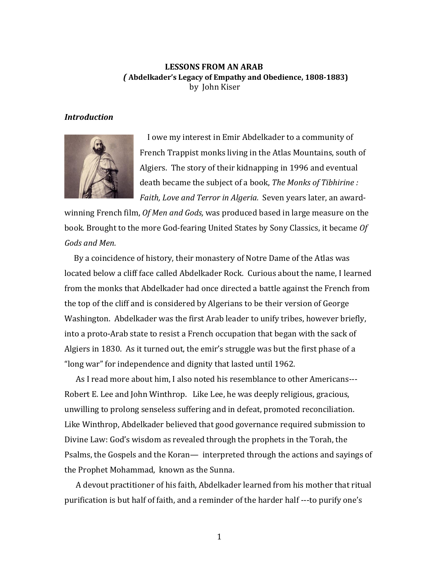# **LESSONS FROM AN ARAB**  *(* **Abdelkader's Legacy of Empathy and Obedience, 1808-1883)** by John Kiser

### *Introduction*



 I owe my interest in Emir Abdelkader to a community of French Trappist monks living in the Atlas Mountains, south of Algiers. The story of their kidnapping in 1996 and eventual death became the subject of a book, *The Monks of Tibhirine : Faith, Love and Terror in Algeria.* Seven years later, an award-

winning French film, *Of Men and Gods,* was produced based in large measure on the book*.* Brought to the more God-fearing United States by Sony Classics, it became *Of Gods and Men.* 

 By a coincidence of history, their monastery of Notre Dame of the Atlas was located below a cliff face called Abdelkader Rock. Curious about the name, I learned from the monks that Abdelkader had once directed a battle against the French from the top of the cliff and is considered by Algerians to be their version of George Washington. Abdelkader was the first Arab leader to unify tribes, however briefly, into a proto-Arab state to resist a French occupation that began with the sack of Algiers in 1830. As it turned out, the emir's struggle was but the first phase of a "long war" for independence and dignity that lasted until 1962.

 As I read more about him, I also noted his resemblance to other Americans--- Robert E. Lee and John Winthrop. Like Lee, he was deeply religious, gracious, unwilling to prolong senseless suffering and in defeat, promoted reconciliation. Like Winthrop, Abdelkader believed that good governance required submission to Divine Law: God's wisdom as revealed through the prophets in the Torah, the Psalms, the Gospels and the Koran— interpreted through the actions and sayings of the Prophet Mohammad, known as the Sunna.

 A devout practitioner of his faith, Abdelkader learned from his mother that ritual purification is but half of faith, and a reminder of the harder half ---to purify one's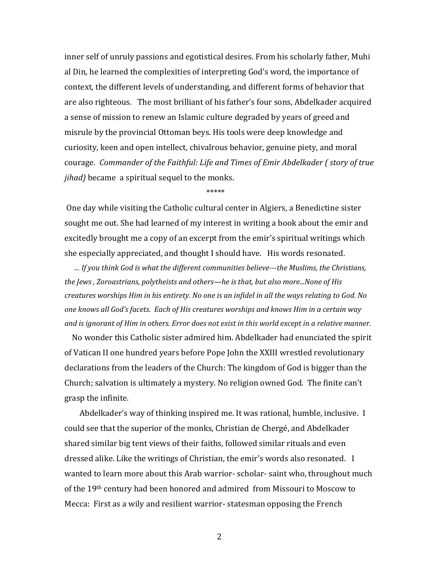inner self of unruly passions and egotistical desires. From his scholarly father, Muhi al Din, he learned the complexities of interpreting God's word, the importance of context, the different levels of understanding, and different forms of behavior that are also righteous. The most brilliant of his father's four sons, Abdelkader acquired a sense of mission to renew an Islamic culture degraded by years of greed and misrule by the provincial Ottoman beys. His tools were deep knowledge and curiosity, keen and open intellect, chivalrous behavior, genuine piety, and moral courage. *Commander of the Faithful: Life and Times of Emir Abdelkader ( story of true jihad)* became a spiritual sequel to the monks.

\*\*\*\*\*\*

One day while visiting the Catholic cultural center in Algiers, a Benedictine sister sought me out. She had learned of my interest in writing a book about the emir and excitedly brought me a copy of an excerpt from the emir's spiritual writings which she especially appreciated, and thought I should have. His words resonated.

 *… If you think God is what the different communities believe---the Muslims, the Christians, the Jews , Zoroastrians, polytheists and others—he is that, but also more...None of His creatures worships Him in his entirety. No one is an infidel in all the ways relating to God. No one knows all God's facets. Each of His creatures worships and knows Him in a certain way and is ignorant of Him in others. Error does not exist in this world except in a relative manner.* 

 No wonder this Catholic sister admired him. Abdelkader had enunciated the spirit of Vatican II one hundred years before Pope John the XXIII wrestled revolutionary declarations from the leaders of the Church: The kingdom of God is bigger than the Church; salvation is ultimately a mystery. No religion owned God. The finite can't grasp the infinite.

 Abdelkader's way of thinking inspired me. It was rational, humble, inclusive. I could see that the superior of the monks, Christian de Chergé, and Abdelkader shared similar big tent views of their faiths, followed similar rituals and even dressed alike. Like the writings of Christian, the emir's words also resonated. I wanted to learn more about this Arab warrior- scholar- saint who, throughout much of the 19th century had been honored and admired from Missouri to Moscow to Mecca: First as a wily and resilient warrior- statesman opposing the French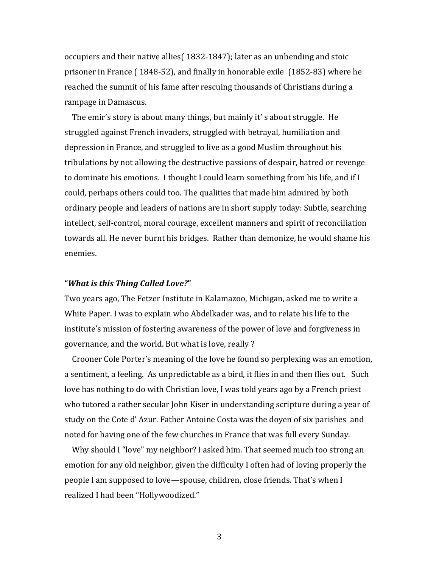occupiers and their native allies( 1832-1847); later as an unbending and stoic prisoner in France ( 1848-52), and finally in honorable exile (1852-83) where he reached the summit of his fame after rescuing thousands of Christians during a rampage in Damascus.

 The emir's story is about many things, but mainly it' s about struggle. He struggled against French invaders, struggled with betrayal, humiliation and depression in France, and struggled to live as a good Muslim throughout his tribulations by not allowing the destructive passions of despair, hatred or revenge to dominate his emotions. I thought I could learn something from his life, and if I could, perhaps others could too. The qualities that made him admired by both ordinary people and leaders of nations are in short supply today: Subtle, searching intellect, self-control, moral courage, excellent manners and spirit of reconciliation towards all. He never burnt his bridges. Rather than demonize, he would shame his enemies.

## **"***What is this Thing Called Love?***"**

Two years ago, The Fetzer Institute in Kalamazoo, Michigan, asked me to write a White Paper. I was to explain who Abdelkader was, and to relate his life to the institute's mission of fostering awareness of the power of love and forgiveness in governance, and the world. But what is love, really ?

 Crooner Cole Porter's meaning of the love he found so perplexing was an emotion, a sentiment, a feeling. As unpredictable as a bird, it flies in and then flies out. Such love has nothing to do with Christian love, I was told years ago by a French priest who tutored a rather secular John Kiser in understanding scripture during a year of study on the Cote d' Azur. Father Antoine Costa was the doyen of six parishes and noted for having one of the few churches in France that was full every Sunday.

 Why should I "love" my neighbor? I asked him. That seemed much too strong an emotion for any old neighbor, given the difficulty I often had of loving properly the people I am supposed to love—spouse, children, close friends. That's when I realized I had been "Hollywoodized."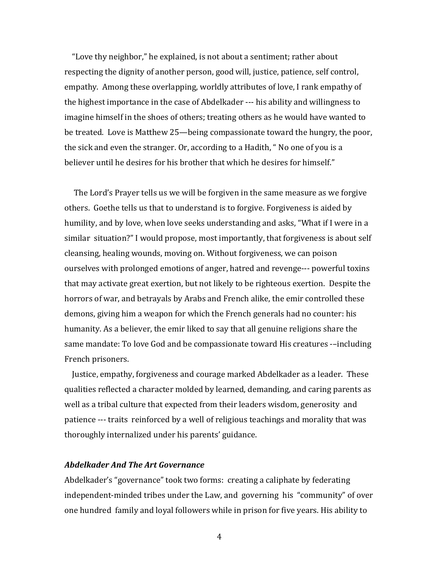"Love thy neighbor," he explained, is not about a sentiment; rather about respecting the dignity of another person, good will, justice, patience, self control, empathy. Among these overlapping, worldly attributes of love, I rank empathy of the highest importance in the case of Abdelkader --- his ability and willingness to imagine himself in the shoes of others; treating others as he would have wanted to be treated. Love is Matthew 25—being compassionate toward the hungry, the poor, the sick and even the stranger. Or, according to a Hadith, " No one of you is a believer until he desires for his brother that which he desires for himself."

 The Lord's Prayer tells us we will be forgiven in the same measure as we forgive others. Goethe tells us that to understand is to forgive. Forgiveness is aided by humility, and by love, when love seeks understanding and asks, "What if I were in a similar situation?" I would propose, most importantly, that forgiveness is about self cleansing, healing wounds, moving on. Without forgiveness, we can poison ourselves with prolonged emotions of anger, hatred and revenge--- powerful toxins that may activate great exertion, but not likely to be righteous exertion. Despite the horrors of war, and betrayals by Arabs and French alike, the emir controlled these demons, giving him a weapon for which the French generals had no counter: his humanity. As a believer, the emir liked to say that all genuine religions share the same mandate: To love God and be compassionate toward His creatures -–including French prisoners.

 Justice, empathy, forgiveness and courage marked Abdelkader as a leader. These qualities reflected a character molded by learned, demanding, and caring parents as well as a tribal culture that expected from their leaders wisdom, generosity and patience --- traits reinforced by a well of religious teachings and morality that was thoroughly internalized under his parents' guidance.

## *Abdelkader And The Art Governance*

Abdelkader's "governance" took two forms: creating a caliphate by federating independent-minded tribes under the Law, and governing his "community" of over one hundred family and loyal followers while in prison for five years. His ability to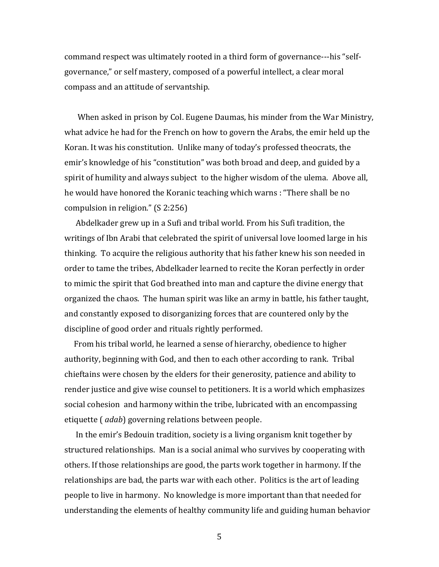command respect was ultimately rooted in a third form of governance---his "selfgovernance," or self mastery, composed of a powerful intellect, a clear moral compass and an attitude of servantship.

 When asked in prison by Col. Eugene Daumas, his minder from the War Ministry, what advice he had for the French on how to govern the Arabs, the emir held up the Koran. It was his constitution. Unlike many of today's professed theocrats, the emir's knowledge of his "constitution" was both broad and deep, and guided by a spirit of humility and always subject to the higher wisdom of the ulema. Above all, he would have honored the Koranic teaching which warns : "There shall be no compulsion in religion." (S 2:256)

 Abdelkader grew up in a Sufi and tribal world. From his Sufi tradition, the writings of Ibn Arabi that celebrated the spirit of universal love loomed large in his thinking. To acquire the religious authority that his father knew his son needed in order to tame the tribes, Abdelkader learned to recite the Koran perfectly in order to mimic the spirit that God breathed into man and capture the divine energy that organized the chaos. The human spirit was like an army in battle, his father taught, and constantly exposed to disorganizing forces that are countered only by the discipline of good order and rituals rightly performed.

 From his tribal world, he learned a sense of hierarchy, obedience to higher authority, beginning with God, and then to each other according to rank. Tribal chieftains were chosen by the elders for their generosity, patience and ability to render justice and give wise counsel to petitioners. It is a world which emphasizes social cohesion and harmony within the tribe, lubricated with an encompassing etiquette ( *adab*) governing relations between people.

 In the emir's Bedouin tradition, society is a living organism knit together by structured relationships. Man is a social animal who survives by cooperating with others. If those relationships are good, the parts work together in harmony. If the relationships are bad, the parts war with each other. Politics is the art of leading people to live in harmony. No knowledge is more important than that needed for understanding the elements of healthy community life and guiding human behavior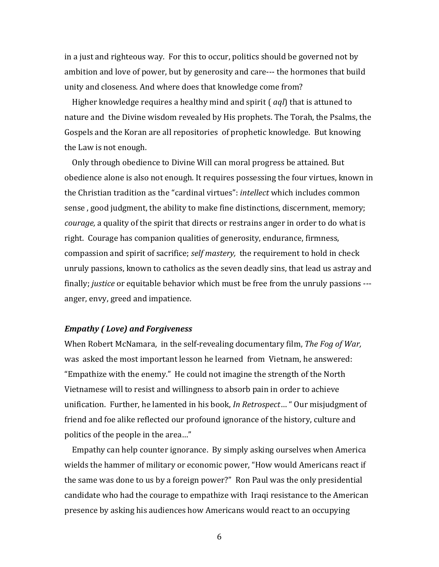in a just and righteous way. For this to occur, politics should be governed not by ambition and love of power, but by generosity and care--- the hormones that build unity and closeness. And where does that knowledge come from?

 Higher knowledge requires a healthy mind and spirit ( *aql*) that is attuned to nature and the Divine wisdom revealed by His prophets. The Torah, the Psalms, the Gospels and the Koran are all repositories of prophetic knowledge. But knowing the Law is not enough.

 Only through obedience to Divine Will can moral progress be attained. But obedience alone is also not enough. It requires possessing the four virtues, known in the Christian tradition as the "cardinal virtues": *intellect* which includes common sense , good judgment, the ability to make fine distinctions, discernment, memory; *courage,* a quality of the spirit that directs or restrains anger in order to do what is right. Courage has companion qualities of generosity, endurance, firmness, compassion and spirit of sacrifice; *self mastery,* the requirement to hold in check unruly passions, known to catholics as the seven deadly sins, that lead us astray and finally; *justice* or equitable behavior which must be free from the unruly passions -- anger, envy, greed and impatience.

## *Empathy ( Love) and Forgiveness*

When Robert McNamara, in the self-revealing documentary film, *The Fog of War,* was asked the most important lesson he learned from Vietnam, he answered: "Empathize with the enemy." He could not imagine the strength of the North Vietnamese will to resist and willingness to absorb pain in order to achieve unification. Further, he lamented in his book, *In Retrospect*… " Our misjudgment of friend and foe alike reflected our profound ignorance of the history, culture and politics of the people in the area…"

 Empathy can help counter ignorance. By simply asking ourselves when America wields the hammer of military or economic power, "How would Americans react if the same was done to us by a foreign power?" Ron Paul was the only presidential candidate who had the courage to empathize with Iraqi resistance to the American presence by asking his audiences how Americans would react to an occupying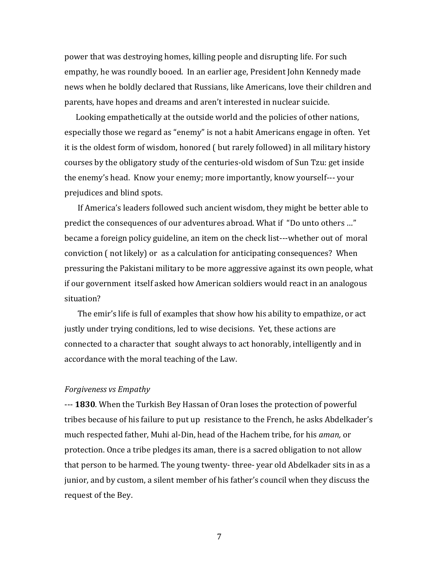power that was destroying homes, killing people and disrupting life. For such empathy, he was roundly booed. In an earlier age, President John Kennedy made news when he boldly declared that Russians, like Americans, love their children and parents, have hopes and dreams and aren't interested in nuclear suicide.

 Looking empathetically at the outside world and the policies of other nations, especially those we regard as "enemy" is not a habit Americans engage in often. Yet it is the oldest form of wisdom, honored ( but rarely followed) in all military history courses by the obligatory study of the centuries-old wisdom of Sun Tzu: get inside the enemy's head. Know your enemy; more importantly, know yourself--- your prejudices and blind spots.

 If America's leaders followed such ancient wisdom, they might be better able to predict the consequences of our adventures abroad. What if "Do unto others …" became a foreign policy guideline, an item on the check list---whether out of moral conviction ( not likely) or as a calculation for anticipating consequences? When pressuring the Pakistani military to be more aggressive against its own people, what if our government itself asked how American soldiers would react in an analogous situation?

 The emir's life is full of examples that show how his ability to empathize, or act justly under trying conditions, led to wise decisions. Yet, these actions are connected to a character that sought always to act honorably, intelligently and in accordance with the moral teaching of the Law.

## *Forgiveness vs Empathy*

--- **1830**. When the Turkish Bey Hassan of Oran loses the protection of powerful tribes because of his failure to put up resistance to the French, he asks Abdelkader's much respected father, Muhi al-Din, head of the Hachem tribe, for his *aman,* or protection. Once a tribe pledges its aman, there is a sacred obligation to not allow that person to be harmed. The young twenty- three- year old Abdelkader sits in as a junior, and by custom, a silent member of his father's council when they discuss the request of the Bey.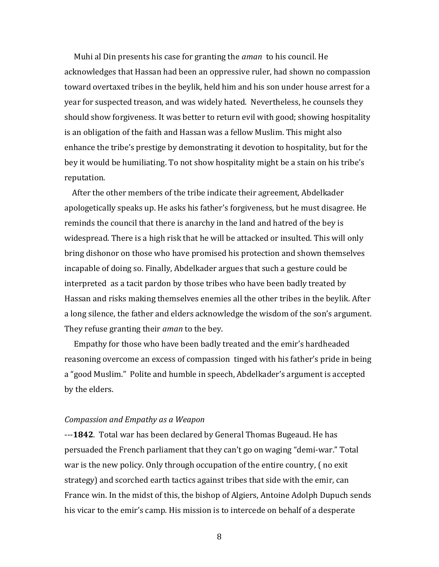Muhi al Din presents his case for granting the *aman* to his council. He acknowledges that Hassan had been an oppressive ruler, had shown no compassion toward overtaxed tribes in the beylik, held him and his son under house arrest for a year for suspected treason, and was widely hated. Nevertheless, he counsels they should show forgiveness. It was better to return evil with good; showing hospitality is an obligation of the faith and Hassan was a fellow Muslim. This might also enhance the tribe's prestige by demonstrating it devotion to hospitality, but for the bey it would be humiliating. To not show hospitality might be a stain on his tribe's reputation.

 After the other members of the tribe indicate their agreement, Abdelkader apologetically speaks up. He asks his father's forgiveness, but he must disagree. He reminds the council that there is anarchy in the land and hatred of the bey is widespread. There is a high risk that he will be attacked or insulted. This will only bring dishonor on those who have promised his protection and shown themselves incapable of doing so. Finally, Abdelkader argues that such a gesture could be interpreted as a tacit pardon by those tribes who have been badly treated by Hassan and risks making themselves enemies all the other tribes in the beylik. After a long silence, the father and elders acknowledge the wisdom of the son's argument. They refuse granting their *aman* to the bey.

 Empathy for those who have been badly treated and the emir's hardheaded reasoning overcome an excess of compassion tinged with his father's pride in being a "good Muslim." Polite and humble in speech, Abdelkader's argument is accepted by the elders.

#### *Compassion and Empathy as a Weapon*

---**1842**. Total war has been declared by General Thomas Bugeaud. He has persuaded the French parliament that they can't go on waging "demi-war." Total war is the new policy. Only through occupation of the entire country, ( no exit strategy) and scorched earth tactics against tribes that side with the emir, can France win. In the midst of this, the bishop of Algiers, Antoine Adolph Dupuch sends his vicar to the emir's camp. His mission is to intercede on behalf of a desperate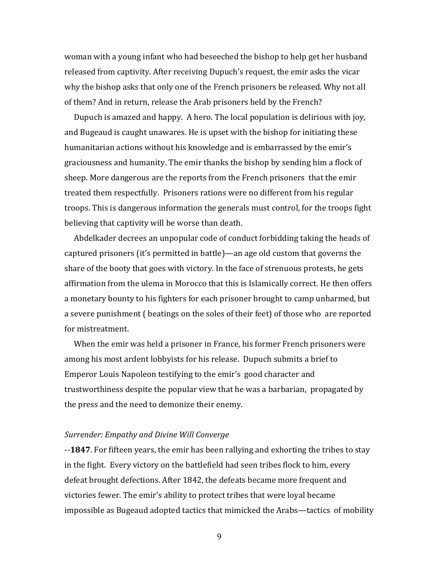woman with a young infant who had beseeched the bishop to help get her husband released from captivity. After receiving Dupuch's request, the emir asks the vicar why the bishop asks that only one of the French prisoners be released. Why not all of them? And in return, release the Arab prisoners held by the French?

 Dupuch is amazed and happy. A hero. The local population is delirious with joy, and Bugeaud is caught unawares. He is upset with the bishop for initiating these humanitarian actions without his knowledge and is embarrassed by the emir's graciousness and humanity. The emir thanks the bishop by sending him a flock of sheep. More dangerous are the reports from the French prisoners that the emir treated them respectfully. Prisoners rations were no different from his regular troops. This is dangerous information the generals must control, for the troops fight believing that captivity will be worse than death.

 Abdelkader decrees an unpopular code of conduct forbidding taking the heads of captured prisoners (it's permitted in battle)—an age old custom that governs the share of the booty that goes with victory. In the face of strenuous protests, he gets affirmation from the ulema in Morocco that this is Islamically correct. He then offers a monetary bounty to his fighters for each prisoner brought to camp unharmed, but a severe punishment ( beatings on the soles of their feet) of those who are reported for mistreatment.

 When the emir was held a prisoner in France, his former French prisoners were among his most ardent lobbyists for his release. Dupuch submits a brief to Emperor Louis Napoleon testifying to the emir's good character and trustworthiness despite the popular view that he was a barbarian, propagated by the press and the need to demonize their enemy.

#### *Surrender: Empathy and Divine Will Converge*

--**1847**. For fifteen years, the emir has been rallying and exhorting the tribes to stay in the fight. Every victory on the battlefield had seen tribes flock to him, every defeat brought defections. After 1842, the defeats became more frequent and victories fewer. The emir's ability to protect tribes that were loyal became impossible as Bugeaud adopted tactics that mimicked the Arabs—tactics of mobility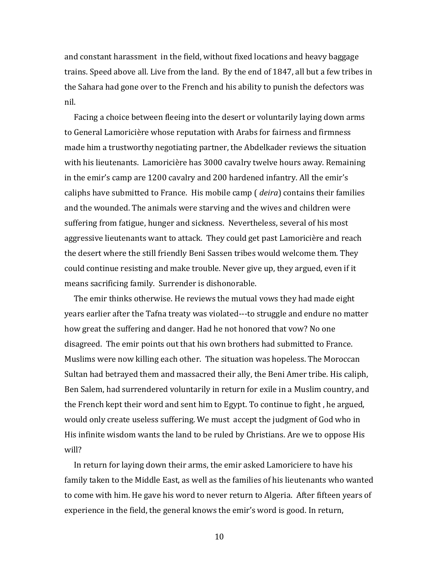and constant harassment in the field, without fixed locations and heavy baggage trains. Speed above all. Live from the land. By the end of 1847, all but a few tribes in the Sahara had gone over to the French and his ability to punish the defectors was nil.

 Facing a choice between fleeing into the desert or voluntarily laying down arms to General Lamoricière whose reputation with Arabs for fairness and firmness made him a trustworthy negotiating partner, the Abdelkader reviews the situation with his lieutenants. Lamoricière has 3000 cavalry twelve hours away. Remaining in the emir's camp are 1200 cavalry and 200 hardened infantry. All the emir's caliphs have submitted to France. His mobile camp ( *deira*) contains their families and the wounded. The animals were starving and the wives and children were suffering from fatigue, hunger and sickness. Nevertheless, several of his most aggressive lieutenants want to attack. They could get past Lamoricière and reach the desert where the still friendly Beni Sassen tribes would welcome them. They could continue resisting and make trouble. Never give up, they argued, even if it means sacrificing family. Surrender is dishonorable.

 The emir thinks otherwise. He reviews the mutual vows they had made eight years earlier after the Tafna treaty was violated---to struggle and endure no matter how great the suffering and danger. Had he not honored that vow? No one disagreed. The emir points out that his own brothers had submitted to France. Muslims were now killing each other. The situation was hopeless. The Moroccan Sultan had betrayed them and massacred their ally, the Beni Amer tribe. His caliph, Ben Salem, had surrendered voluntarily in return for exile in a Muslim country, and the French kept their word and sent him to Egypt. To continue to fight , he argued, would only create useless suffering. We must accept the judgment of God who in His infinite wisdom wants the land to be ruled by Christians. Are we to oppose His will?

 In return for laying down their arms, the emir asked Lamoriciere to have his family taken to the Middle East, as well as the families of his lieutenants who wanted to come with him. He gave his word to never return to Algeria. After fifteen years of experience in the field, the general knows the emir's word is good. In return,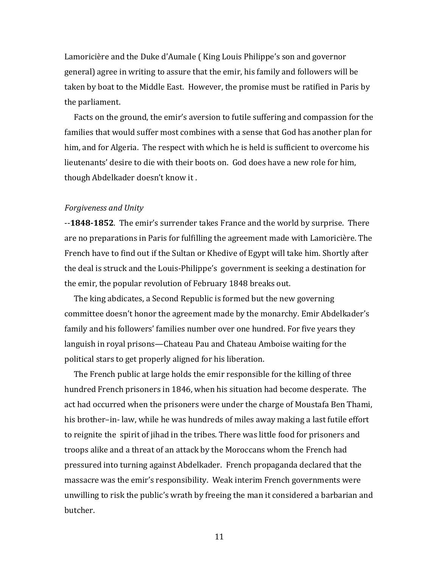Lamoricière and the Duke d'Aumale ( King Louis Philippe's son and governor general) agree in writing to assure that the emir, his family and followers will be taken by boat to the Middle East. However, the promise must be ratified in Paris by the parliament.

 Facts on the ground, the emir's aversion to futile suffering and compassion for the families that would suffer most combines with a sense that God has another plan for him, and for Algeria. The respect with which he is held is sufficient to overcome his lieutenants' desire to die with their boots on. God does have a new role for him, though Abdelkader doesn't know it .

### *Forgiveness and Unity*

--**1848-1852**. The emir's surrender takes France and the world by surprise. There are no preparations in Paris for fulfilling the agreement made with Lamoricière. The French have to find out if the Sultan or Khedive of Egypt will take him. Shortly after the deal is struck and the Louis-Philippe's government is seeking a destination for the emir, the popular revolution of February 1848 breaks out.

 The king abdicates, a Second Republic is formed but the new governing committee doesn't honor the agreement made by the monarchy. Emir Abdelkader's family and his followers' families number over one hundred. For five years they languish in royal prisons—Chateau Pau and Chateau Amboise waiting for the political stars to get properly aligned for his liberation.

 The French public at large holds the emir responsible for the killing of three hundred French prisoners in 1846, when his situation had become desperate. The act had occurred when the prisoners were under the charge of Moustafa Ben Thami, his brother–in- law, while he was hundreds of miles away making a last futile effort to reignite the spirit of jihad in the tribes. There was little food for prisoners and troops alike and a threat of an attack by the Moroccans whom the French had pressured into turning against Abdelkader. French propaganda declared that the massacre was the emir's responsibility. Weak interim French governments were unwilling to risk the public's wrath by freeing the man it considered a barbarian and butcher.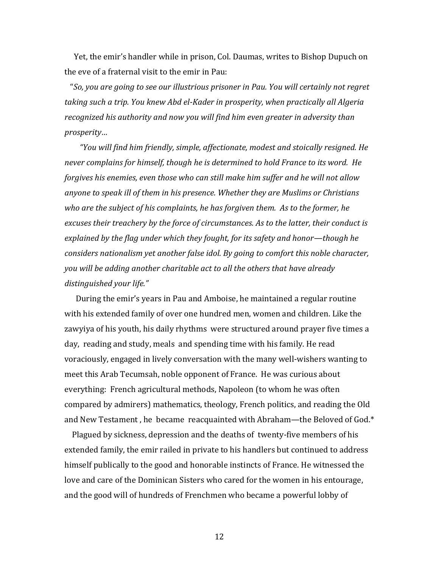Yet, the emir's handler while in prison, Col. Daumas, writes to Bishop Dupuch on the eve of a fraternal visit to the emir in Pau:

"*So, you are going to see our illustrious prisoner in Pau. You will certainly not regret taking such a trip. You knew Abd el-Kader in prosperity, when practically all Algeria recognized his authority and now you will find him even greater in adversity than prosperity…* 

 *"You will find him friendly, simple, affectionate, modest and stoically resigned. He never complains for himself, though he is determined to hold France to its word. He forgives his enemies, even those who can still make him suffer and he will not allow anyone to speak ill of them in his presence. Whether they are Muslims or Christians who are the subject of his complaints, he has forgiven them. As to the former, he excuses their treachery by the force of circumstances. As to the latter, their conduct is explained by the flag under which they fought, for its safety and honor—though he considers nationalism yet another false idol. By going to comfort this noble character, you will be adding another charitable act to all the others that have already distinguished your life."* 

During the emir's years in Pau and Amboise, he maintained a regular routine with his extended family of over one hundred men, women and children. Like the zawyiya of his youth, his daily rhythms were structured around prayer five times a day, reading and study, meals and spending time with his family. He read voraciously, engaged in lively conversation with the many well-wishers wanting to meet this Arab Tecumsah, noble opponent of France. He was curious about everything: French agricultural methods, Napoleon (to whom he was often compared by admirers) mathematics, theology, French politics, and reading the Old and New Testament , he became reacquainted with Abraham—the Beloved of God.\*

 Plagued by sickness, depression and the deaths of twenty-five members of his extended family, the emir railed in private to his handlers but continued to address himself publically to the good and honorable instincts of France. He witnessed the love and care of the Dominican Sisters who cared for the women in his entourage, and the good will of hundreds of Frenchmen who became a powerful lobby of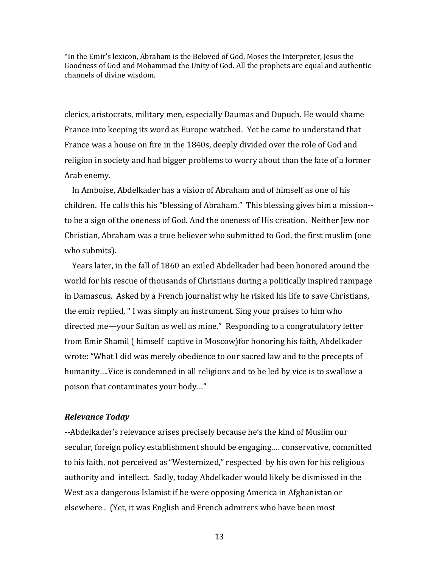\*In the Emir's lexicon, Abraham is the Beloved of God, Moses the Interpreter, Jesus the Goodness of God and Mohammad the Unity of God. All the prophets are equal and authentic channels of divine wisdom.

clerics, aristocrats, military men, especially Daumas and Dupuch. He would shame France into keeping its word as Europe watched. Yet he came to understand that France was a house on fire in the 1840s, deeply divided over the role of God and religion in society and had bigger problems to worry about than the fate of a former Arab enemy.

 In Amboise, Abdelkader has a vision of Abraham and of himself as one of his children. He calls this his "blessing of Abraham." This blessing gives him a mission- to be a sign of the oneness of God. And the oneness of His creation. Neither Jew nor Christian, Abraham was a true believer who submitted to God, the first muslim (one who submits).

 Years later, in the fall of 1860 an exiled Abdelkader had been honored around the world for his rescue of thousands of Christians during a politically inspired rampage in Damascus. Asked by a French journalist why he risked his life to save Christians, the emir replied, " I was simply an instrument. Sing your praises to him who directed me—your Sultan as well as mine." Responding to a congratulatory letter from Emir Shamil ( himself captive in Moscow)for honoring his faith, Abdelkader wrote: "What I did was merely obedience to our sacred law and to the precepts of humanity….Vice is condemned in all religions and to be led by vice is to swallow a poison that contaminates your body…"

## *Relevance Today*

--Abdelkader's relevance arises precisely because he's the kind of Muslim our secular, foreign policy establishment should be engaging.… conservative, committed to his faith, not perceived as "Westernized," respected by his own for his religious authority and intellect. Sadly, today Abdelkader would likely be dismissed in the West as a dangerous Islamist if he were opposing America in Afghanistan or elsewhere . (Yet, it was English and French admirers who have been most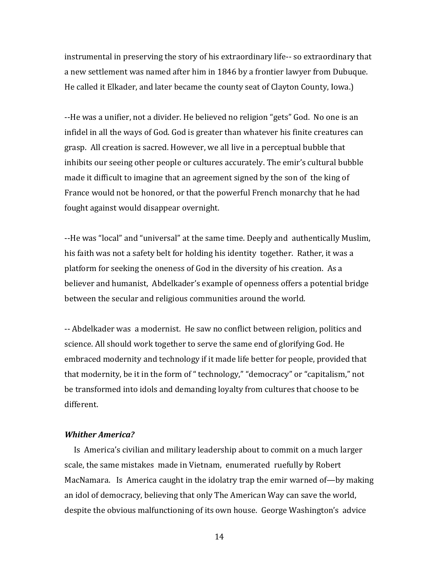instrumental in preserving the story of his extraordinary life-- so extraordinary that a new settlement was named after him in 1846 by a frontier lawyer from Dubuque. He called it Elkader, and later became the county seat of Clayton County, Iowa.)

--He was a unifier, not a divider. He believed no religion "gets" God. No one is an infidel in all the ways of God. God is greater than whatever his finite creatures can grasp. All creation is sacred. However, we all live in a perceptual bubble that inhibits our seeing other people or cultures accurately. The emir's cultural bubble made it difficult to imagine that an agreement signed by the son of the king of France would not be honored, or that the powerful French monarchy that he had fought against would disappear overnight.

--He was "local" and "universal" at the same time. Deeply and authentically Muslim, his faith was not a safety belt for holding his identity together. Rather, it was a platform for seeking the oneness of God in the diversity of his creation. As a believer and humanist, Abdelkader's example of openness offers a potential bridge between the secular and religious communities around the world.

-- Abdelkader was a modernist. He saw no conflict between religion, politics and science. All should work together to serve the same end of glorifying God. He embraced modernity and technology if it made life better for people, provided that that modernity, be it in the form of " technology," "democracy" or "capitalism," not be transformed into idols and demanding loyalty from cultures that choose to be different.

## *Whither America?*

 Is America's civilian and military leadership about to commit on a much larger scale, the same mistakes made in Vietnam, enumerated ruefully by Robert MacNamara. Is America caught in the idolatry trap the emir warned of—by making an idol of democracy, believing that only The American Way can save the world, despite the obvious malfunctioning of its own house. George Washington's advice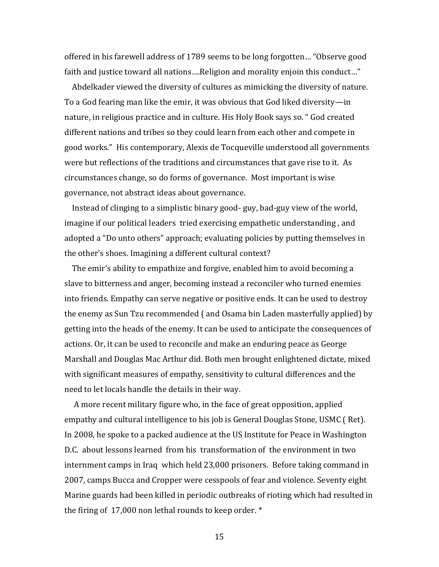offered in his farewell address of 1789 seems to be long forgotten… "Observe good faith and justice toward all nations….Religion and morality enjoin this conduct…"

 Abdelkader viewed the diversity of cultures as mimicking the diversity of nature. To a God fearing man like the emir, it was obvious that God liked diversity—in nature, in religious practice and in culture. His Holy Book says so. " God created different nations and tribes so they could learn from each other and compete in good works." His contemporary, Alexis de Tocqueville understood all governments were but reflections of the traditions and circumstances that gave rise to it. As circumstances change, so do forms of governance. Most important is wise governance, not abstract ideas about governance.

 Instead of clinging to a simplistic binary good- guy, bad-guy view of the world, imagine if our political leaders tried exercising empathetic understanding , and adopted a "Do unto others" approach; evaluating policies by putting themselves in the other's shoes. Imagining a different cultural context?

 The emir's ability to empathize and forgive, enabled him to avoid becoming a slave to bitterness and anger, becoming instead a reconciler who turned enemies into friends. Empathy can serve negative or positive ends. It can be used to destroy the enemy as Sun Tzu recommended ( and Osama bin Laden masterfully applied) by getting into the heads of the enemy. It can be used to anticipate the consequences of actions. Or, it can be used to reconcile and make an enduring peace as George Marshall and Douglas Mac Arthur did. Both men brought enlightened dictate, mixed with significant measures of empathy, sensitivity to cultural differences and the need to let locals handle the details in their way.

 A more recent military figure who, in the face of great opposition, applied empathy and cultural intelligence to his job is General Douglas Stone, USMC ( Ret). In 2008, he spoke to a packed audience at the US Institute for Peace in Washington D.C. about lessons learned from his transformation of the environment in two internment camps in Iraq which held 23,000 prisoners. Before taking command in 2007, camps Bucca and Cropper were cesspools of fear and violence. Seventy eight Marine guards had been killed in periodic outbreaks of rioting which had resulted in the firing of 17,000 non lethal rounds to keep order. \*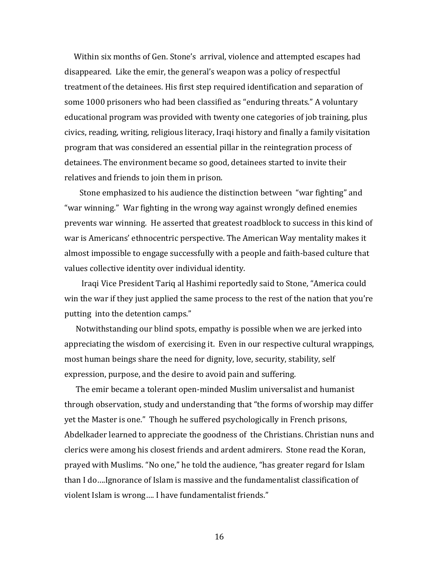Within six months of Gen. Stone's arrival, violence and attempted escapes had disappeared. Like the emir, the general's weapon was a policy of respectful treatment of the detainees. His first step required identification and separation of some 1000 prisoners who had been classified as "enduring threats." A voluntary educational program was provided with twenty one categories of job training, plus civics, reading, writing, religious literacy, Iraqi history and finally a family visitation program that was considered an essential pillar in the reintegration process of detainees. The environment became so good, detainees started to invite their relatives and friends to join them in prison.

 Stone emphasized to his audience the distinction between "war fighting" and "war winning." War fighting in the wrong way against wrongly defined enemies prevents war winning. He asserted that greatest roadblock to success in this kind of war is Americans' ethnocentric perspective. The American Way mentality makes it almost impossible to engage successfully with a people and faith-based culture that values collective identity over individual identity.

 Iraqi Vice President Tariq al Hashimi reportedly said to Stone, "America could win the war if they just applied the same process to the rest of the nation that you're putting into the detention camps."

 Notwithstanding our blind spots, empathy is possible when we are jerked into appreciating the wisdom of exercising it. Even in our respective cultural wrappings, most human beings share the need for dignity, love, security, stability, self expression, purpose, and the desire to avoid pain and suffering.

 The emir became a tolerant open-minded Muslim universalist and humanist through observation, study and understanding that "the forms of worship may differ yet the Master is one." Though he suffered psychologically in French prisons, Abdelkader learned to appreciate the goodness of the Christians. Christian nuns and clerics were among his closest friends and ardent admirers. Stone read the Koran, prayed with Muslims. "No one," he told the audience, "has greater regard for Islam than I do….Ignorance of Islam is massive and the fundamentalist classification of violent Islam is wrong…. I have fundamentalist friends."